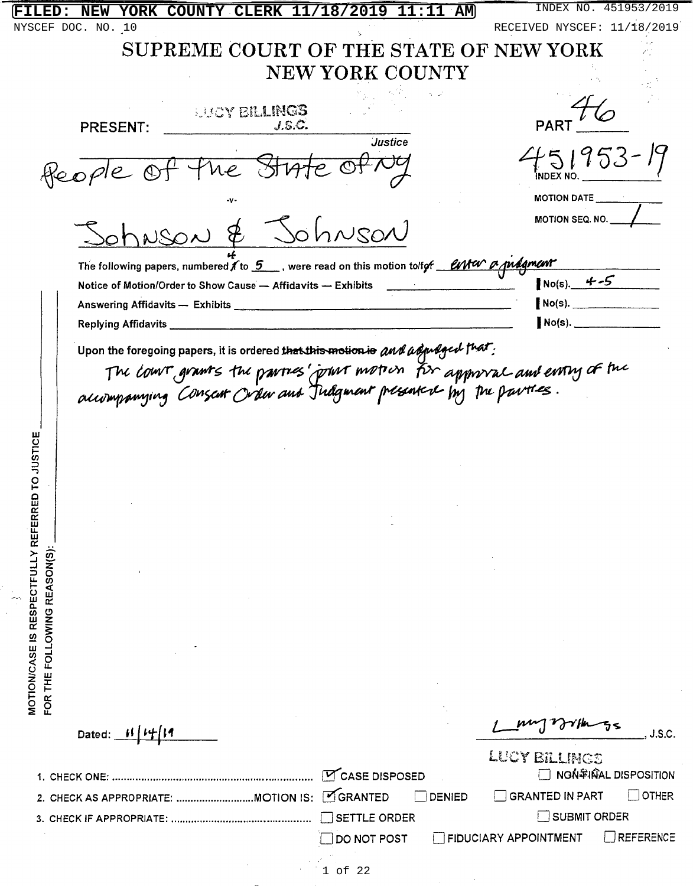| YORK COUNTY CLERK 11/18/2019 11:11 AM<br><b>FILED:</b><br>NEW                                      | INDEX NO. 451953/2019                     |
|----------------------------------------------------------------------------------------------------|-------------------------------------------|
| NYSCEF DOC. NO. 10                                                                                 | RECEIVED NYSCEF: 11/18/2019               |
| SUPREME COURT OF THE STATE OF NEW YORK                                                             |                                           |
| <b>NEW YORK COUNTY</b>                                                                             |                                           |
|                                                                                                    |                                           |
| <b>SHOY BILLINGS</b>                                                                               |                                           |
| J.S.C.<br><b>PRESENT:</b><br><b>Justice</b>                                                        |                                           |
|                                                                                                    | 151953                                    |
| ne State Of Ng<br>Heople Of 7                                                                      | <b>INDEX NO</b>                           |
|                                                                                                    | MOTION DATE                               |
| <u>Sohnson &amp; Johnson</u>                                                                       | MOTION SEQ. NO.                           |
| The following papers, numbered $f$ to $5$ , were read on this motion to for $f$ and $g$ model with |                                           |
| Notice of Motion/Order to Show Cause - Affidavits - Exhibits                                       | $No(s) = 4 - 5$                           |
|                                                                                                    | $No(s)$ .                                 |
| Replying Affidavits _                                                                              | $No(s)$ .                                 |
|                                                                                                    |                                           |
| Upon the foregoing papers, it is ordered that this motion is and adjudged that:                    |                                           |
| The court grants the partnes' point motion for approval and early of the                           |                                           |
|                                                                                                    |                                           |
|                                                                                                    |                                           |
|                                                                                                    |                                           |
|                                                                                                    |                                           |
|                                                                                                    |                                           |
|                                                                                                    |                                           |
|                                                                                                    |                                           |
|                                                                                                    |                                           |
|                                                                                                    |                                           |
|                                                                                                    |                                           |
|                                                                                                    |                                           |
|                                                                                                    |                                           |
|                                                                                                    |                                           |
|                                                                                                    |                                           |
|                                                                                                    |                                           |
| MOTION/CASE IS RESPECTFULLY REFERRED TO JUSTICE<br>FOR THE FOLLOWING REASON(S):                    |                                           |
|                                                                                                    |                                           |
| Dated:                                                                                             | J.S.C                                     |
|                                                                                                    | LUCY BILLINGS                             |
| CASE DISPOSED                                                                                      | <b>NON SHALL DISPOSITION</b>              |
| OGRANTED<br><b>DENIED</b>                                                                          | $\Box$ other<br><b>GRANTED IN PART</b>    |
| SETTLE ORDER<br>3. CHECK IF APPROPRIATE:                                                           | $\exists$ SUBMIT ORDER                    |
| DO NOT POST                                                                                        | FIDUCIARY APPOINTMENT<br><b>REFERENCE</b> |
|                                                                                                    |                                           |

 $\chi_{\rm{max}}=1.5$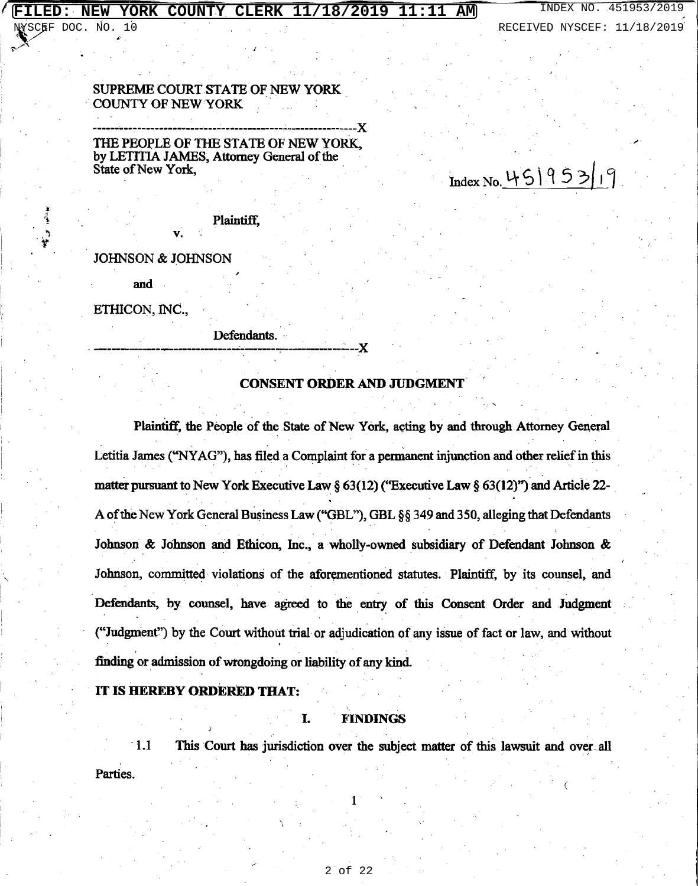#### FILED: NEW YORK COUNTY CLERK 11/18/2019 11:11 АM

YSCEF DOC. NO.

SUPREME COURT STATE OF NEW YORK **COUNTY OF NEW YORK** 

THE PEOPLE OF THE STATE OF NEW YORK. by LETITIA JAMES, Attorney General of the State of New York,

Index No. 45195319

Plaintiff.

**JOHNSON & JOHNSON** 

and

ETHICON, INC.,

Defendants.

### **CONSENT ORDER AND JUDGMENT**

.x

Plaintiff, the People of the State of New York, acting by and through Attorney General Letitia James ("NYAG"), has filed a Complaint for a permanent injunction and other relief in this matter pursuant to New York Executive Law § 63(12) ("Executive Law § 63(12)") and Article 22-A of the New York General Business Law ("GBL"), GBL §§ 349 and 350, alleging that Defendants Johnson & Johnson and Ethicon, Inc., a wholly-owned subsidiary of Defendant Johnson & Johnson, committed violations of the aforementioned statutes. Plaintiff, by its counsel, and Defendants, by counsel, have agreed to the entry of this Consent Order and Judgment ("Judgment") by the Court without trial or adjudication of any issue of fact or law, and without finding or admission of wrongdoing or liability of any kind.

### IT IS HEREBY ORDERED THAT:

### **FINDINGS**

T.

 $\overline{1.1}$ This Court has jurisdiction over the subject matter of this lawsuit and over all Parties.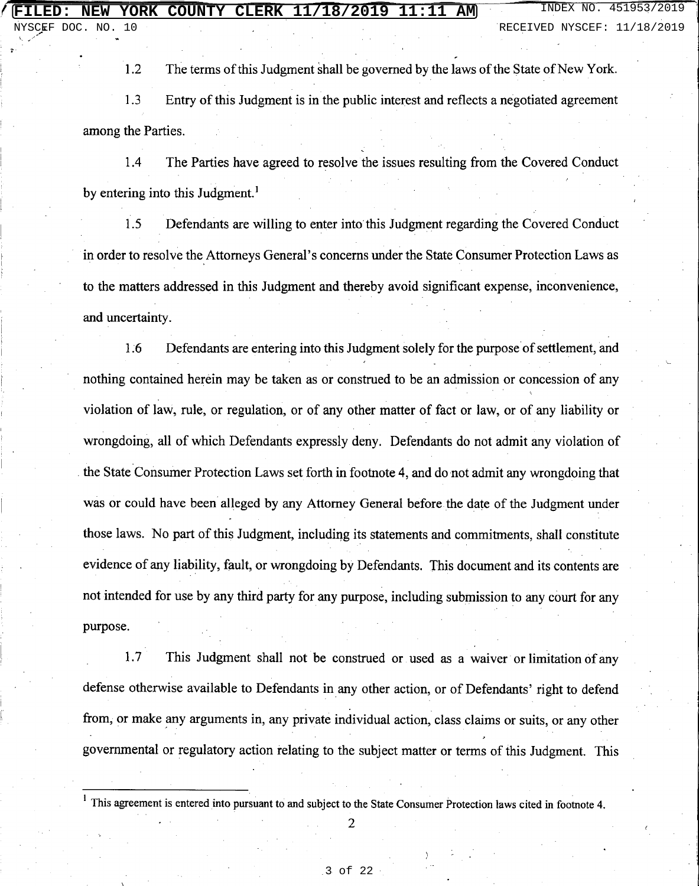$1.2$ The terms of this Judgment shall be governed by the laws of the State of New York.

 $1.3$ Entry of this Judgment is in the public interest and reflects a negotiated agreement among the Parties.

The Parties have agreed to resolve the issues resulting from the Covered Conduct  $1.4$ by entering into this Judgment.<sup>1</sup>

Defendants are willing to enter into this Judgment regarding the Covered Conduct 1.5 in order to resolve the Attorneys General's concerns under the State Consumer Protection Laws as to the matters addressed in this Judgment and thereby avoid significant expense, inconvenience, and uncertainty.

 $1.6$ Defendants are entering into this Judgment solely for the purpose of settlement, and nothing contained herein may be taken as or construed to be an admission or concession of any violation of law, rule, or regulation, or of any other matter of fact or law, or of any liability or wrongdoing, all of which Defendants expressly deny. Defendants do not admit any violation of the State Consumer Protection Laws set forth in footnote 4, and do not admit any wrongdoing that was or could have been alleged by any Attorney General before the date of the Judgment under those laws. No part of this Judgment, including its statements and commitments, shall constitute evidence of any liability, fault, or wrongdoing by Defendants. This document and its contents are not intended for use by any third party for any purpose, including submission to any court for any purpose.

 $1.7$ This Judgment shall not be construed or used as a waiver or limitation of any defense otherwise available to Defendants in any other action, or of Defendants' right to defend from, or make any arguments in, any private individual action, class claims or suits, or any other governmental or regulatory action relating to the subject matter or terms of this Judgment. This

<sup>&</sup>lt;sup>1</sup> This agreement is entered into pursuant to and subject to the State Consumer Protection laws cited in footnote 4.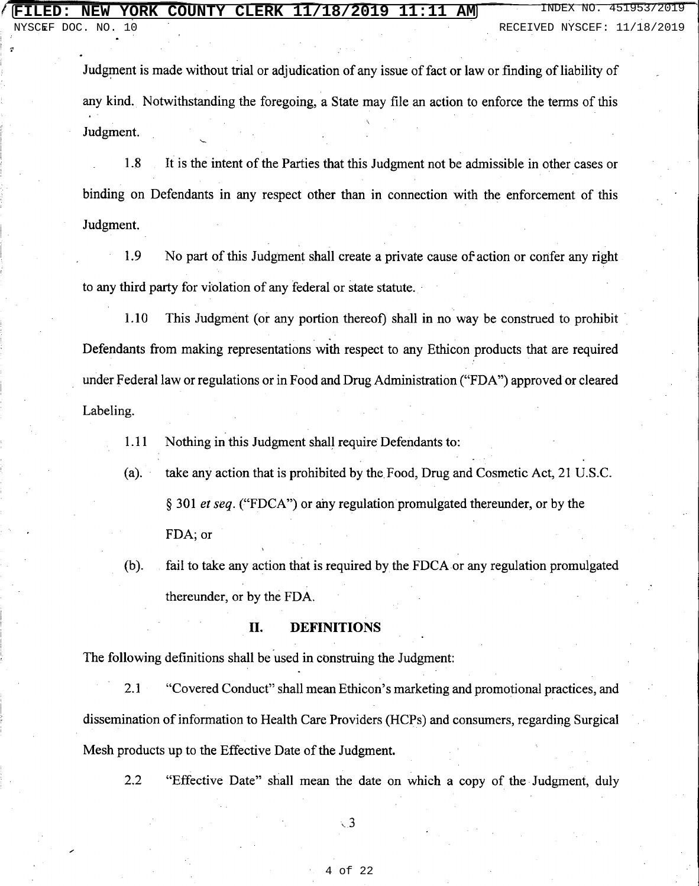NYSCEF DOC. NO. 10 RECEIVED NYSCEF: 11/18/2019

Judgment is made without trial or adjudication of any issue of fact or law or finding of liability of any kind. Notwithstanding the foregoing, a State may file an action to enforce the terms of this Judgment.

1.8 It is the intent of the Parties that this Judgment not be admissible in other cases or binding on Defendants in any respect other than in connection with the enforcement of this Judgment.

1.9 No part of this Judgment shall create a private cause of action or confer any right to any third party for violation of any federal or state statute.

1.10 This Judgment (or any portion thereof) shall in no way be construed to prohibit Defendants from making representations with respect to any Ethicon products that are required under Federal law or regulations or in Food and Drug Administration ("FDA") approved or cleared Labeling.

Nothing in this Judgment shall require Defendants to: 1.11

 $(a)$ . take any action that is prohibited by the Food, Drug and Cosmetic Act, 21 U.S.C. § 301 et seq. ("FDCA") or any regulation promulgated thereunder, or by the FDA; or

 $(b).$ fail to take any action that is required by the FDCA or any regulation promulgated thereunder, or by the FDA.

### II. **DEFINITIONS**

The following definitions shall be used in construing the Judgment:

"Covered Conduct" shall mean Ethicon's marketing and promotional practices, and  $2.1$ dissemination of information to Health Care Providers (HCPs) and consumers, regarding Surgical Mesh products up to the Effective Date of the Judgment.

 $2.2$ "Effective Date" shall mean the date on which a copy of the Judgment, duly

 $\sqrt{3}$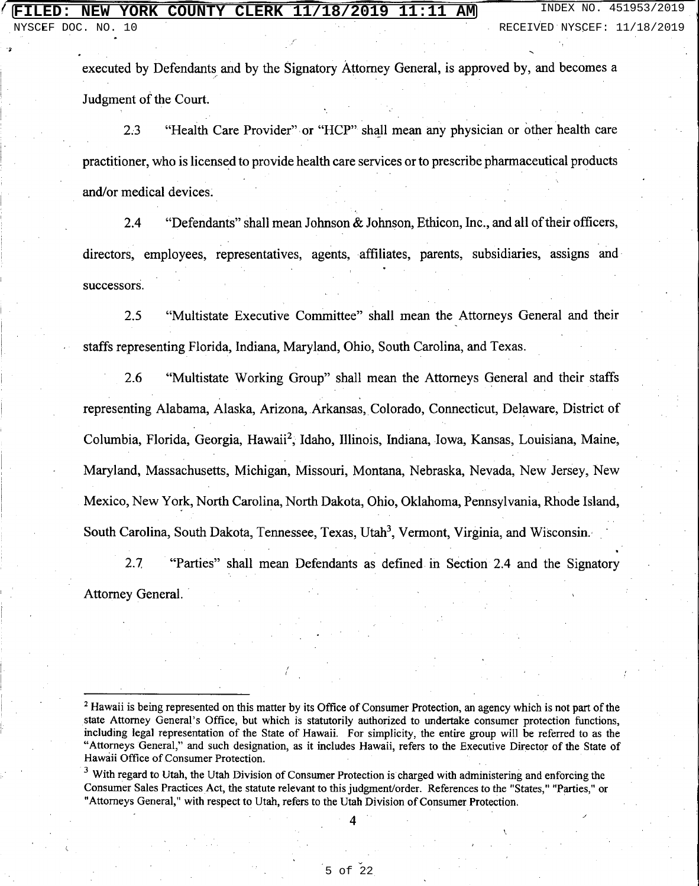executed by Defendants and by the Signatory Attorney General, is approved by, and becomes a Judgment of the Court.

"Health Care Provider" or "HCP" shall mean any physician or other health care  $2.3$ practitioner, who is licensed to provide health care services or to prescribe pharmaceutical products and/or medical devices.

"Defendants" shall mean Johnson & Johnson, Ethicon, Inc., and all of their officers,  $2.4$ directors, employees, representatives, agents, affiliates, parents, subsidiaries, assigns and successors.

 $2.5$ "Multistate Executive Committee" shall mean the Attorneys General and their staffs representing Florida, Indiana, Maryland, Ohio, South Carolina, and Texas.

2.6 "Multistate Working Group" shall mean the Attorneys General and their staffs representing Alabama, Alaska, Arizona, Arkansas, Colorado, Connecticut, Delaware, District of Columbia, Florida, Georgia, Hawaii<sup>2</sup>, Idaho, Illinois, Indiana, Iowa, Kansas, Louisiana, Maine, Maryland, Massachusetts, Michigan, Missouri, Montana, Nebraska, Nevada, New Jersey, New Mexico, New York, North Carolina, North Dakota, Ohio, Oklahoma, Pennsylvania, Rhode Island, South Carolina, South Dakota, Tennessee, Texas, Utah<sup>3</sup>, Vermont, Virginia, and Wisconsin.

 $2.7$ "Parties" shall mean Defendants as defined in Section 2.4 and the Signatory Attorney General.

<sup>&</sup>lt;sup>2</sup> Hawaii is being represented on this matter by its Office of Consumer Protection, an agency which is not part of the state Attorney General's Office, but which is statutorily authorized to undertake consumer protection functions, including legal representation of the State of Hawaii. For simplicity, the entire group will be referred to as the "Attorneys General," and such designation, as it includes Hawaii, refers to the Executive Director of the State of Hawaii Office of Consumer Protection.

<sup>&</sup>lt;sup>3</sup> With regard to Utah, the Utah Division of Consumer Protection is charged with administering and enforcing the Consumer Sales Practices Act, the statute relevant to this judgment/order. References to the "States." "Parties." or "Attorneys General," with respect to Utah, refers to the Utah Division of Consumer Protection.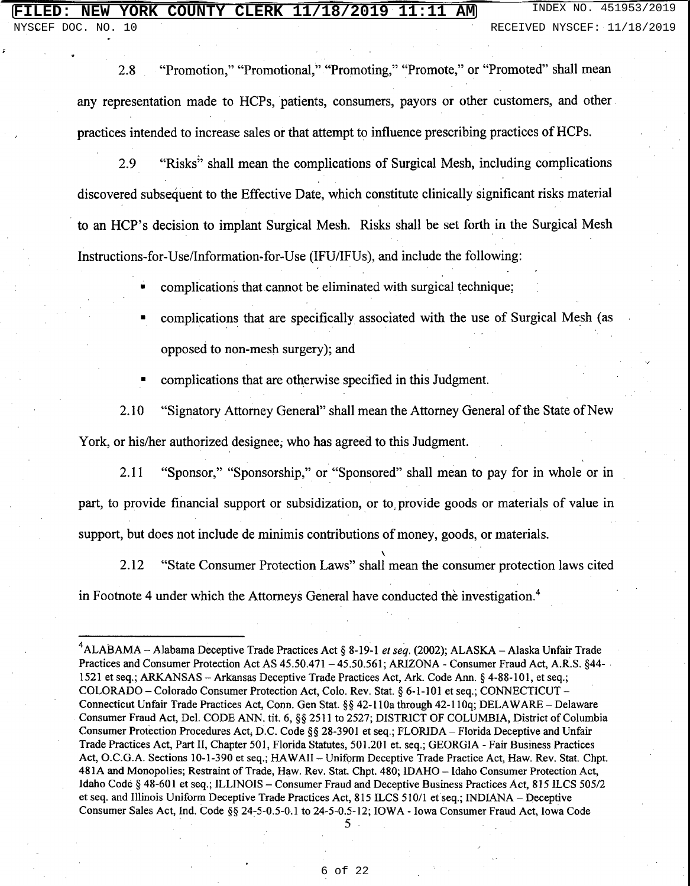### **NEW YORK COUNTY CLERK 11/18/2019 11:11 AM** INDEX NO. 451953/2019

DOC. NO. 10 RECEIVED NYSCEF: 11/18/2019

"Promotion," "Promotional," "Promoting," "Promote," or "Promoted" shall mean 2.8 any representation made to HCPs, patients, consumers, payors or other customers, and other practices intended to increase sales or that attempt to influence prescribing practices of HCPs.

"Risks" shall mean the complications of Surgical Mesh, including complications 2.9 discovered subsequent to the Effective Date, which constitute clinically significant risks material to an HCP's decision to implant Surgical Mesh. Risks shall be set forth in the Surgical Mesh Instructions-for-Use/Information-for-Use (IFU/IFUs), and include the following:

complications that cannot be eliminated with surgical technique;

complications that are specifically associated with the use of Surgical Mesh (as opposed to non-mesh surgery); and

complications that are otherwise specified in this Judgment.

"Signatory Attorney General" shall mean the Attorney General of the State of New 2.10 York, or his/her authorized designee, who has agreed to this Judgment.

2.11 "Sponsor," "Sponsorship," or "Sponsored" shall mean to pay for in whole or in part, to provide financial support or subsidization, or to provide goods or materials of value in support, but does not include de minimis contributions of money, goods, or materials.

"State Consumer Protection Laws" shall mean the consumer protection laws cited 2.12 in Footnote 4 under which the Attorneys General have conducted the investigation.<sup>4</sup>

<sup>&</sup>lt;sup>4</sup>ALABAMA – Alabama Deceptive Trade Practices Act § 8-19-1 et seq. (2002); ALASKA – Alaska Unfair Trade Practices and Consumer Protection Act AS 45.50.471 - 45.50.561; ARIZONA - Consumer Fraud Act, A.R.S. §44-1521 et seq.; ARKANSAS - Arkansas Deceptive Trade Practices Act, Ark. Code Ann. § 4-88-101, et seq.; COLORADO - Colorado Consumer Protection Act. Colo. Rev. Stat. § 6-1-101 et seq.; CONNECTICUT -Connecticut Unfair Trade Practices Act, Conn. Gen Stat. §§ 42-110a through 42-110q; DELAWARE - Delaware Consumer Fraud Act, Del. CODE ANN. tit. 6, §§ 2511 to 2527; DISTRICT OF COLUMBIA, District of Columbia Consumer Protection Procedures Act, D.C. Code §§ 28-3901 et seq.; FLORIDA – Florida Deceptive and Unfair Trade Practices Act, Part II, Chapter 501, Florida Statutes, 501.201 et. seq.; GEORGIA - Fair Business Practices Act, O.C.G.A. Sections 10-1-390 et seq.; HAWAII - Uniform Deceptive Trade Practice Act, Haw. Rev. Stat. Chpt. 481A and Monopolies; Restraint of Trade, Haw. Rev. Stat. Chpt. 480; IDAHO - Idaho Consumer Protection Act, Idaho Code § 48-601 et seq.; ILLINOIS - Consumer Fraud and Deceptive Business Practices Act, 815 ILCS 505/2 et seq. and Illinois Uniform Deceptive Trade Practices Act, 815 ILCS 510/1 et seq.; INDIANA - Deceptive Consumer Sales Act, Ind. Code §§ 24-5-0.5-0.1 to 24-5-0.5-12; IOWA - Iowa Consumer Fraud Act, Iowa Code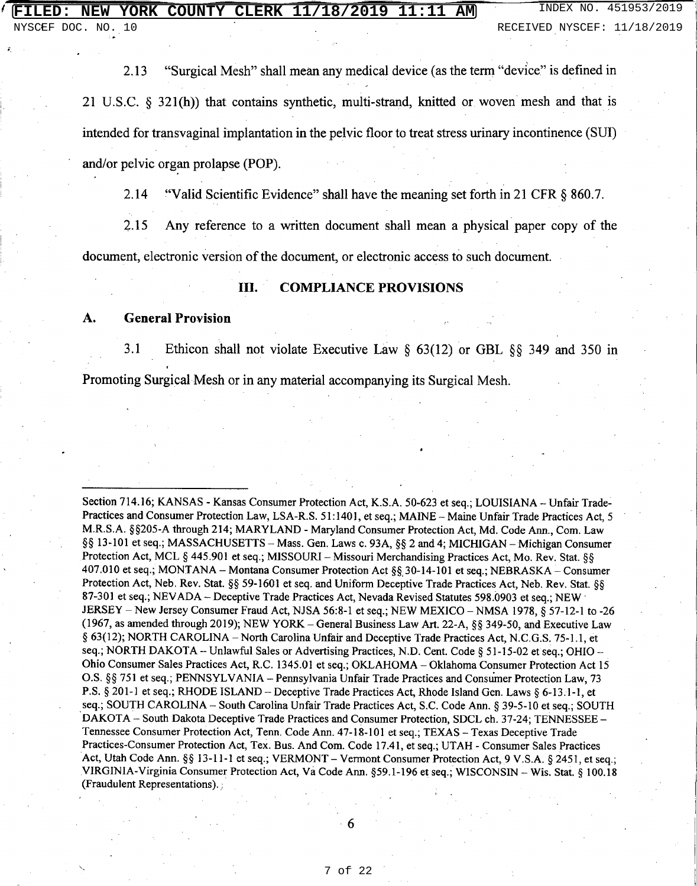"Surgical Mesh" shall mean any medical device (as the term "device" is defined in 2.13 21 U.S.C.  $\S$  321(h)) that contains synthetic, multi-strand, knitted or woven mesh and that is intended for transvaginal implantation in the pelvic floor to treat stress urinary incontinence (SUI) and/or pelvic organ prolapse (POP).

 $2.14$ "Valid Scientific Evidence" shall have the meaning set forth in 21 CFR § 860.7.

 $2.15$ Any reference to a written document shall mean a physical paper copy of the document, electronic version of the document, or electronic access to such document.

### **III. COMPLIANCE PROVISIONS**

### **General Provision** A.

 $3.1$ Ethicon shall not violate Executive Law  $\S$  63(12) or GBL  $\S$ § 349 and 350 in Promoting Surgical Mesh or in any material accompanying its Surgical Mesh.

Section 714.16; KANSAS - Kansas Consumer Protection Act, K.S.A. 50-623 et seq.; LOUISIANA - Unfair Trade-Practices and Consumer Protection Law, LSA-R.S. 51:1401, et seq.; MAINE - Maine Unfair Trade Practices Act, 5 M.R.S.A. §§205-A through 214; MARYLAND - Maryland Consumer Protection Act, Md. Code Ann., Com. Law §§ 13-101 et seq.; MASSACHUSETTS – Mass. Gen. Laws c. 93A, §§ 2 and 4; MICHIGAN – Michigan Consumer Protection Act, MCL § 445.901 et seq.; MISSOURI - Missouri Merchandising Practices Act, Mo. Rev. Stat. §§ 407.010 et seq.; MONTANA - Montana Consumer Protection Act §§ 30-14-101 et seq.; NEBRASKA - Consumer Protection Act, Neb. Rev. Stat. §§ 59-1601 et seq. and Uniform Deceptive Trade Practices Act, Neb. Rev. Stat. §§ 87-301 et seq.; NEVADA - Deceptive Trade Practices Act, Nevada Revised Statutes 598.0903 et seq.; NEW JERSEY - New Jersey Consumer Fraud Act, NJSA 56:8-1 et seq.; NEW MEXICO - NMSA 1978, § 57-12-1 to -26 (1967, as amended through 2019); NEW YORK - General Business Law Art. 22-A, §§ 349-50, and Executive Law § 63(12); NORTH CAROLINA - North Carolina Unfair and Deceptive Trade Practices Act, N.C.G.S. 75-1.1, et seq.; NORTH DAKOTA -- Unlawful Sales or Advertising Practices, N.D. Cent. Code § 51-15-02 et seq.; OHIO --Ohio Consumer Sales Practices Act, R.C. 1345.01 et seq.; OKLAHOMA - Oklahoma Consumer Protection Act 15 O.S. §§ 751 et seq.; PENNSYLVANIA - Pennsylvania Unfair Trade Practices and Consumer Protection Law, 73 P.S. § 201-1 et seq.; RHODE ISLAND – Deceptive Trade Practices Act, Rhode Island Gen. Laws § 6-13.1-1, et seq.; SOUTH CAROLINA - South Carolina Unfair Trade Practices Act, S.C. Code Ann. § 39-5-10 et seq.; SOUTH DAKOTA - South Dakota Deceptive Trade Practices and Consumer Protection, SDCL ch. 37-24; TENNESSEE -Tennessee Consumer Protection Act, Tenn. Code Ann. 47-18-101 et seq.; TEXAS - Texas Deceptive Trade Practices-Consumer Protection Act, Tex. Bus. And Com. Code 17.41, et seq.; UTAH - Consumer Sales Practices Act, Utah Code Ann. §§ 13-11-1 et seq.; VERMONT – Vermont Consumer Protection Act, 9 V.S.A. § 2451, et seq.; VIRGINIA-Virginia Consumer Protection Act, Va Code Ann. §59.1-196 et seq.; WISCONSIN - Wis. Stat. § 100.18 (Fraudulent Representations).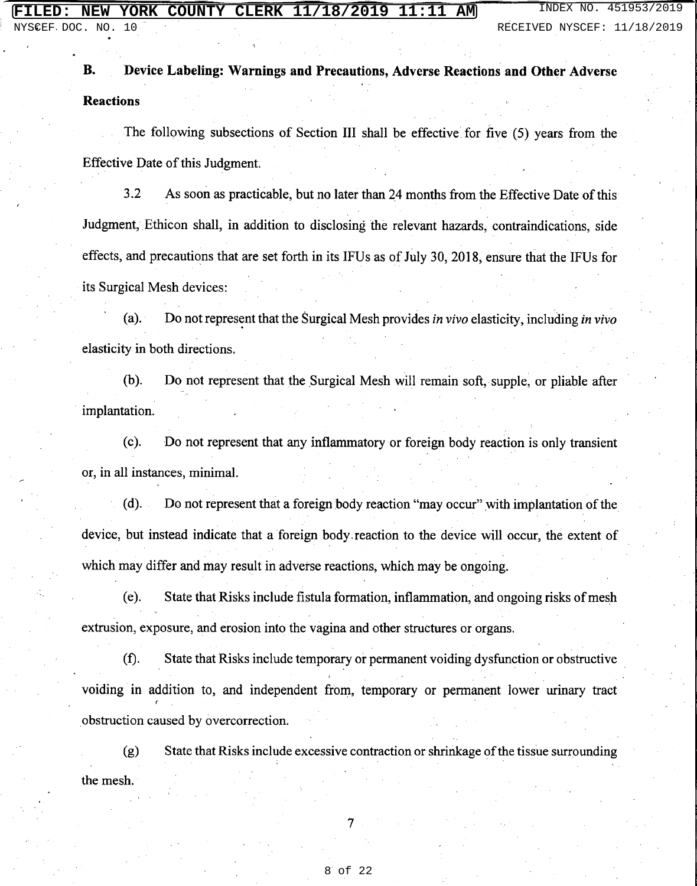NYSCEF DOC. NO. 10 RECEIVED NYSCEF: 11/18/2019

Device Labeling: Warnings and Precautions, Adverse Reactions and Other Adverse **B. Reactions** 

The following subsections of Section III shall be effective for five (5) years from the Effective Date of this Judgment.

 $3.2$ As soon as practicable, but no later than 24 months from the Effective Date of this Judgment, Ethicon shall, in addition to disclosing the relevant hazards, contraindications, side effects, and precautions that are set forth in its IFUs as of July 30, 2018, ensure that the IFUs for its Surgical Mesh devices:

 $(a)$ . Do not represent that the Surgical Mesh provides in vivo elasticity, including in vivo elasticity in both directions.

 $(b).$ Do not represent that the Surgical Mesh will remain soft, supple, or pliable after implantation.

Do not represent that any inflammatory or foreign body reaction is only transient  $(c)$ . or, in all instances, minimal.

Do not represent that a foreign body reaction "may occur" with implantation of the  $(d)$ . device, but instead indicate that a foreign body reaction to the device will occur, the extent of which may differ and may result in adverse reactions, which may be ongoing.

(e). State that Risks include fistula formation, inflammation, and ongoing risks of mesh extrusion, exposure, and erosion into the vagina and other structures or organs.

 $(f).$ State that Risks include temporary or permanent voiding dysfunction or obstructive voiding in addition to, and independent from, temporary or permanent lower urinary tract obstruction caused by overcorrection.

State that Risks include excessive contraction or shrinkage of the tissue surrounding  $(g)$ the mesh.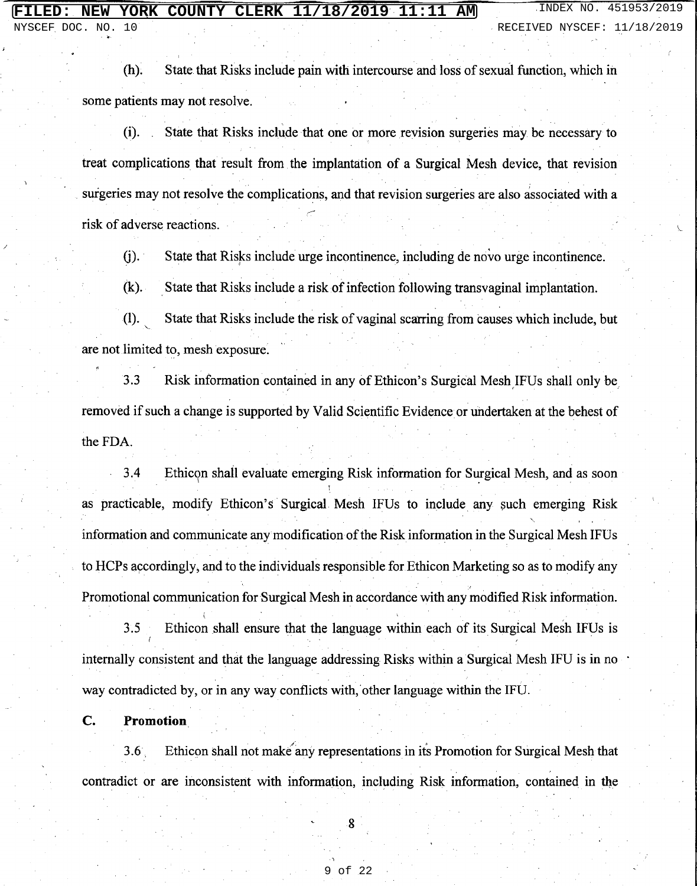NYSCEF DOC. NO.  $10$ 

INDEX NO. 451953/2019 RECEIVED NYSCEF: 11/18/2019

State that Risks include pain with intercourse and loss of sexual function, which in  $(h)$ . some patients may not resolve.

State that Risks include that one or more revision surgeries may be necessary to  $(i)$ . treat complications that result from the implantation of a Surgical Mesh device, that revision surgeries may not resolve the complications, and that revision surgeries are also associated with a risk of adverse reactions.

 $(i).$ State that Risks include urge incontinence, including de novo urge incontinence.

 $(k)$ . State that Risks include a risk of infection following transvaginal implantation.

 $(I).$ State that Risks include the risk of vaginal scarring from causes which include, but are not limited to, mesh exposure.

 $3.3$ Risk information contained in any of Ethicon's Surgical Mesh IFUs shall only be removed if such a change is supported by Valid Scientific Evidence or undertaken at the behest of the FDA.

 $3.4$ Ethicon shall evaluate emerging Risk information for Surgical Mesh, and as soon as practicable, modify Ethicon's Surgical Mesh IFUs to include any such emerging Risk information and communicate any modification of the Risk information in the Surgical Mesh IFUs to HCPs accordingly, and to the individuals responsible for Ethicon Marketing so as to modify any Promotional communication for Surgical Mesh in accordance with any modified Risk information.

 $3.5$ Ethicon shall ensure that the language within each of its Surgical Mesh IFUs is internally consistent and that the language addressing Risks within a Surgical Mesh IFU is in no way contradicted by, or in any way conflicts with, other language within the IFU.

C. Promotion

Ethicon shall not make any representations in its Promotion for Surgical Mesh that  $3.6<sub>1</sub>$ contradict or are inconsistent with information, including Risk information, contained in the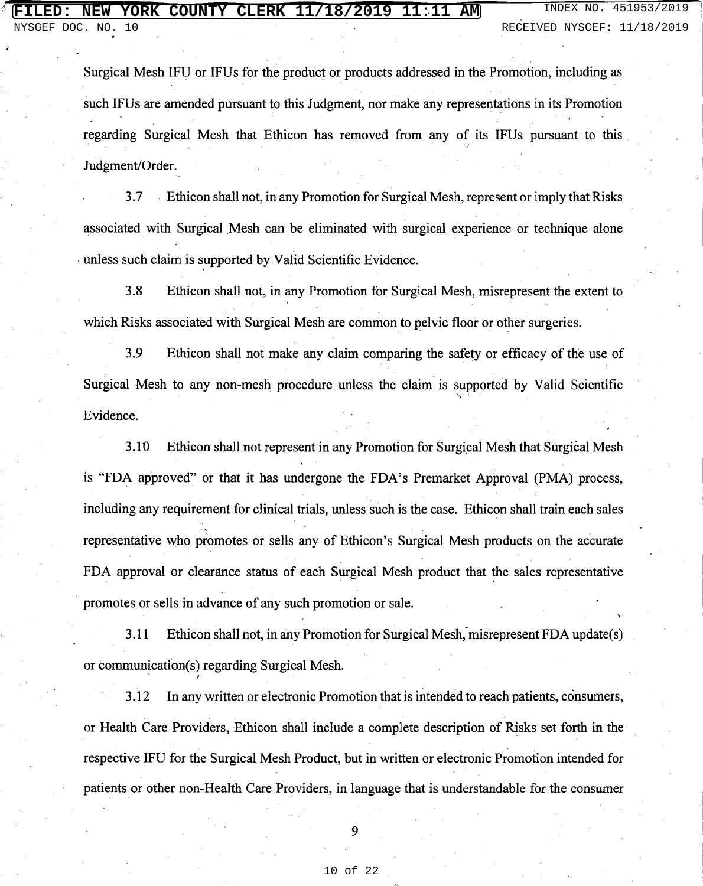Surgical Mesh IFU or IFUs for the product or products addressed in the Promotion, including as such IFUs are amended pursuant to this Judgment, nor make any representations in its Promotion regarding Surgical Mesh that Ethicon has removed from any of its IFUs pursuant to this Judgment/Order.

Ethicon shall not, in any Promotion for Surgical Mesh, represent or imply that Risks  $3.7$ associated with Surgical Mesh can be eliminated with surgical experience or technique alone unless such claim is supported by Valid Scientific Evidence.

 $3.8$ Ethicon shall not, in any Promotion for Surgical Mesh, misrepresent the extent to which Risks associated with Surgical Mesh are common to pelvic floor or other surgeries.

3.9 Ethicon shall not make any claim comparing the safety or efficacy of the use of Surgical Mesh to any non-mesh procedure unless the claim is supported by Valid Scientific Evidence.

3.10 Ethicon shall not represent in any Promotion for Surgical Mesh that Surgical Mesh is "FDA approved" or that it has undergone the FDA's Premarket Approval (PMA) process, including any requirement for clinical trials, unless such is the case. Ethicon shall train each sales representative who promotes or sells any of Ethicon's Surgical Mesh products on the accurate FDA approval or clearance status of each Surgical Mesh product that the sales representative promotes or sells in advance of any such promotion or sale.

3.11 Ethicon shall not, in any Promotion for Surgical Mesh, misrepresent FDA update(s) or communication(s) regarding Surgical Mesh.

In any written or electronic Promotion that is intended to reach patients, consumers, 3.12 or Health Care Providers, Ethicon shall include a complete description of Risks set forth in the respective IFU for the Surgical Mesh Product, but in written or electronic Promotion intended for patients or other non-Health Care Providers, in language that is understandable for the consumer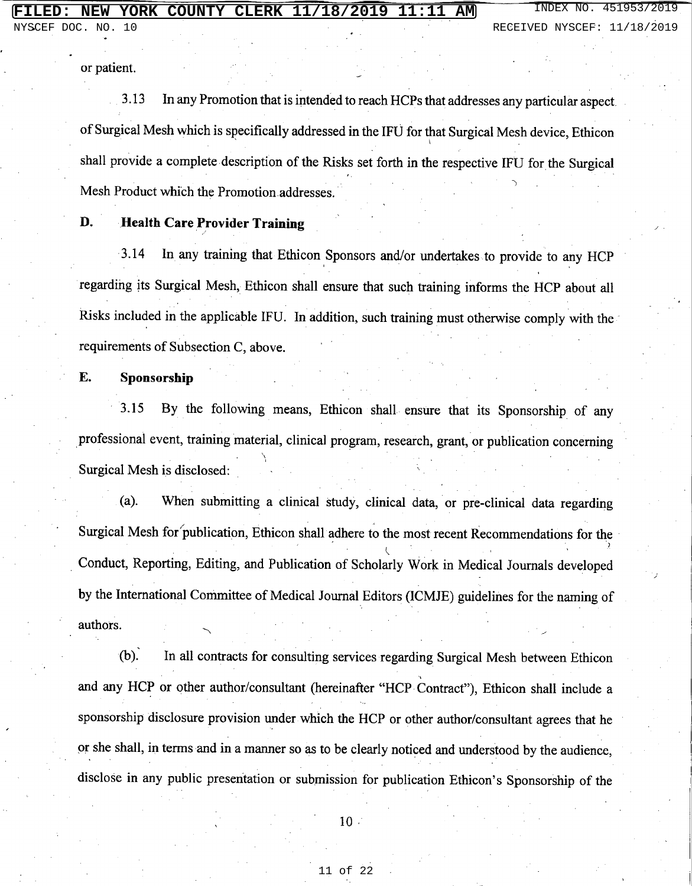or patient.

 $NO.$ 

DOC.

 $1<sub>0</sub>$ 

In any Promotion that is intended to reach HCPs that addresses any particular aspect. 3.13 of Surgical Mesh which is specifically addressed in the IFU for that Surgical Mesh device, Ethicon shall provide a complete description of the Risks set forth in the respective IFU for the Surgical Mesh Product which the Promotion addresses.

D. **Health Care Provider Training** 

 $3.14$ In any training that Ethicon Sponsors and/or undertakes to provide to any HCP regarding its Surgical Mesh, Ethicon shall ensure that such training informs the HCP about all Risks included in the applicable IFU. In addition, such training must otherwise comply with the requirements of Subsection C, above.

E. Sponsorship

 $3.15$ By the following means, Ethicon shall ensure that its Sponsorship of any professional event, training material, clinical program, research, grant, or publication concerning Surgical Mesh is disclosed:

When submitting a clinical study, clinical data, or pre-clinical data regarding (a). Surgical Mesh for publication, Ethicon shall adhere to the most recent Recommendations for the Conduct, Reporting, Editing, and Publication of Scholarly Work in Medical Journals developed by the International Committee of Medical Journal Editors (ICMJE) guidelines for the naming of authors.

 $(b).$ In all contracts for consulting services regarding Surgical Mesh between Ethicon and any HCP or other author/consultant (hereinafter "HCP Contract"), Ethicon shall include a sponsorship disclosure provision under which the HCP or other author/consultant agrees that he or she shall, in terms and in a manner so as to be clearly noticed and understood by the audience. disclose in any public presentation or submission for publication Ethicon's Sponsorship of the

 $10$ .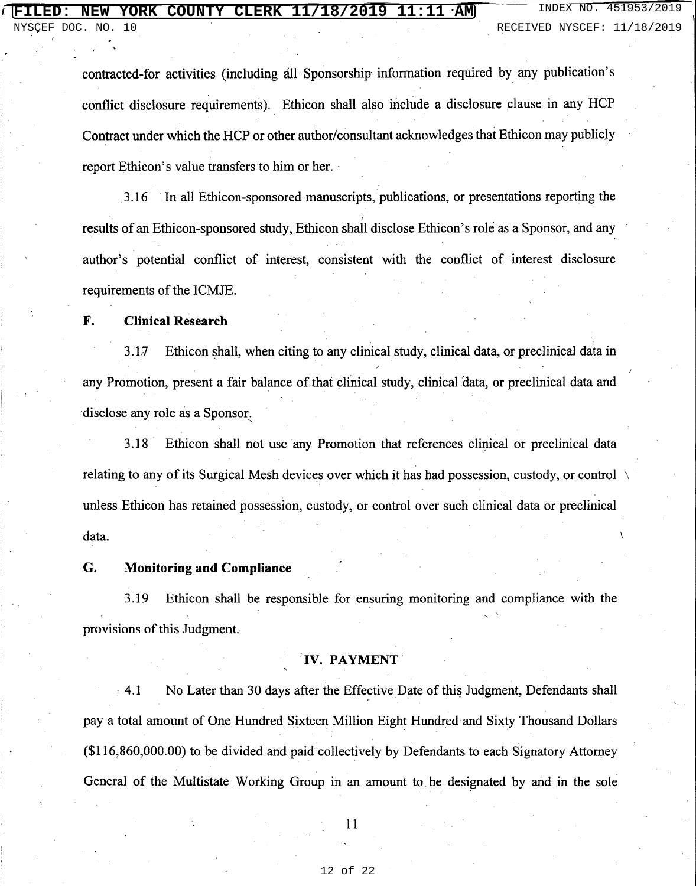NO.

**TNDEX** 

contracted-for activities (including all Sponsorship information required by any publication's conflict disclosure requirements). Ethicon shall also include a disclosure clause in any HCP Contract under which the HCP or other author/consultant acknowledges that Ethicon may publicly report Ethicon's value transfers to him or her.

In all Ethicon-sponsored manuscripts, publications, or presentations reporting the 3.16 results of an Ethicon-sponsored study, Ethicon shall disclose Ethicon's role as a Sponsor, and any author's potential conflict of interest, consistent with the conflict of interest disclosure requirements of the ICMJE.

### F. **Clinical Research**

3.17 Ethicon shall, when citing to any clinical study, clinical data, or preclinical data in any Promotion, present a fair balance of that clinical study, clinical data, or preclinical data and disclose any role as a Sponsor.

Ethicon shall not use any Promotion that references clinical or preclinical data  $3.18$ relating to any of its Surgical Mesh devices over which it has had possession, custody, or control unless Ethicon has retained possession, custody, or control over such clinical data or preclinical data.

### G. **Monitoring and Compliance**

3.19 Ethicon shall be responsible for ensuring monitoring and compliance with the provisions of this Judgment.

### **IV. PAYMENT**

 $4.1$ No Later than 30 days after the Effective Date of this Judgment, Defendants shall pay a total amount of One Hundred Sixteen Million Eight Hundred and Sixty Thousand Dollars (\$116,860,000.00) to be divided and paid collectively by Defendants to each Signatory Attorney General of the Multistate Working Group in an amount to be designated by and in the sole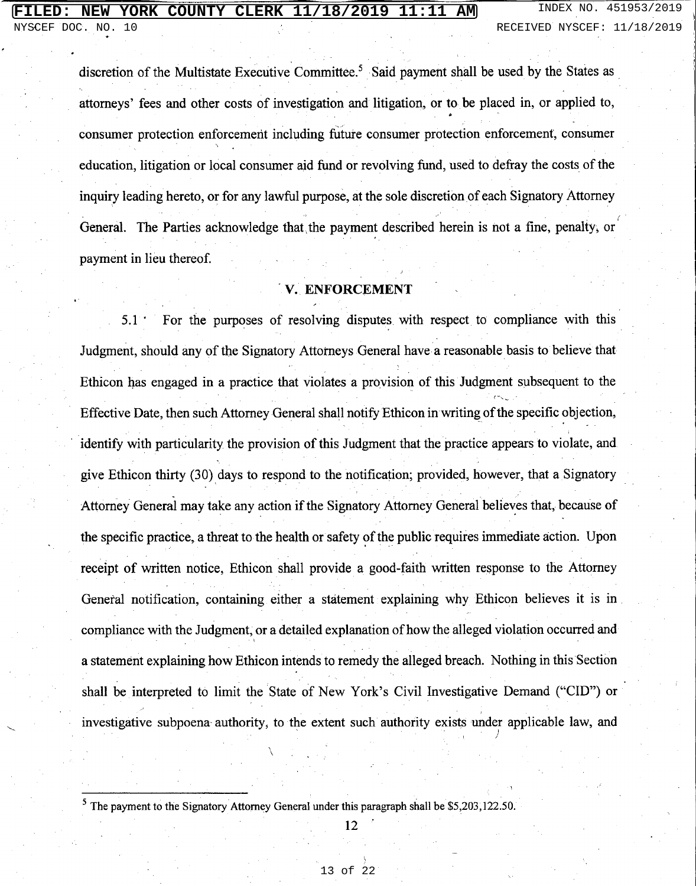## **NEW YORK COUNTY CLERK 11/18/2019 11:11 AM** INDEX NO. 451953/2019

discretion of the Multistate Executive Committee.<sup>5</sup> Said payment shall be used by the States as attorneys' fees and other costs of investigation and litigation, or to be placed in, or applied to, consumer protection enforcement including future consumer protection enforcement, consumer education, litigation or local consumer aid fund or revolving fund, used to defray the costs of the inquiry leading hereto, or for any lawful purpose, at the sole discretion of each Signatory Attorney General. The Parties acknowledge that the payment described herein is not a fine, penalty, or payment in lieu thereof.

## V. ENFORCEMENT

For the purposes of resolving disputes with respect to compliance with this  $5.1^\circ$ Judgment, should any of the Signatory Attorneys General have a reasonable basis to believe that Ethicon has engaged in a practice that violates a provision of this Judgment subsequent to the Effective Date, then such Attorney General shall notify Ethicon in writing of the specific objection, identify with particularity the provision of this Judgment that the practice appears to violate, and give Ethicon thirty (30) days to respond to the notification; provided, however, that a Signatory Attorney General may take any action if the Signatory Attorney General believes that, because of the specific practice, a threat to the health or safety of the public requires immediate action. Upon receipt of written notice, Ethicon shall provide a good-faith written response to the Attorney General notification, containing either a statement explaining why Ethicon believes it is in compliance with the Judgment, or a detailed explanation of how the alleged violation occurred and a statement explaining how Ethicon intends to remedy the alleged breach. Nothing in this Section shall be interpreted to limit the State of New York's Civil Investigative Demand ("CID") or investigative subpoena authority, to the extent such authority exists under applicable law, and

 $12$ 

 $5$  The payment to the Signatory Attorney General under this paragraph shall be \$5,203,122.50.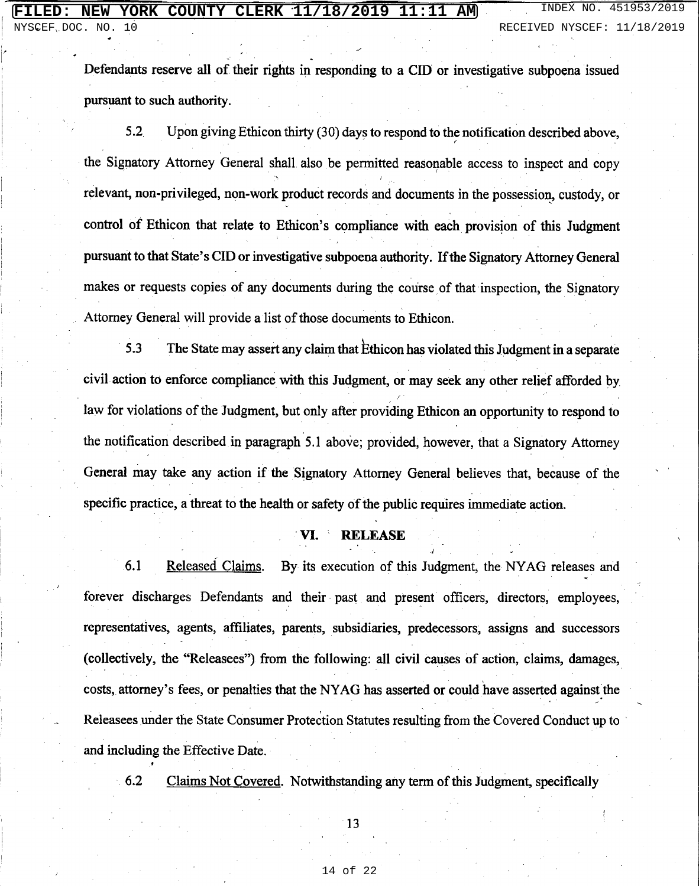Defendants reserve all of their rights in responding to a CID or investigative subpoena issued pursuant to such authority.

 $5.2$ Upon giving Ethicon thirty (30) days to respond to the notification described above, the Signatory Attorney General shall also be permitted reasonable access to inspect and copy relevant, non-privileged, non-work product records and documents in the possession, custody, or control of Ethicon that relate to Ethicon's compliance with each provision of this Judgment pursuant to that State's CID or investigative subpoena authority. If the Signatory Attorney General makes or requests copies of any documents during the course of that inspection, the Signatory Attorney General will provide a list of those documents to Ethicon.

The State may assert any claim that Ethicon has violated this Judgment in a separate  $5.3$ civil action to enforce compliance with this Judgment, or may seek any other relief afforded by law for violations of the Judgment, but only after providing Ethicon an opportunity to respond to the notification described in paragraph 5.1 above; provided, however, that a Signatory Attorney General may take any action if the Signatory Attorney General believes that, because of the specific practice, a threat to the health or safety of the public requires immediate action.

### VI. **RELEASE**

 $6.1$ Released Claims. By its execution of this Judgment, the NYAG releases and forever discharges Defendants and their past and present officers, directors, employees, representatives, agents, affiliates, parents, subsidiaries, predecessors, assigns and successors (collectively, the "Releasees") from the following: all civil causes of action, claims, damages, costs, attorney's fees, or penalties that the NYAG has asserted or could have asserted against the Releasees under the State Consumer Protection Statutes resulting from the Covered Conduct up to and including the Effective Date.

Claims Not Covered. Notwithstanding any term of this Judgment, specifically 6.2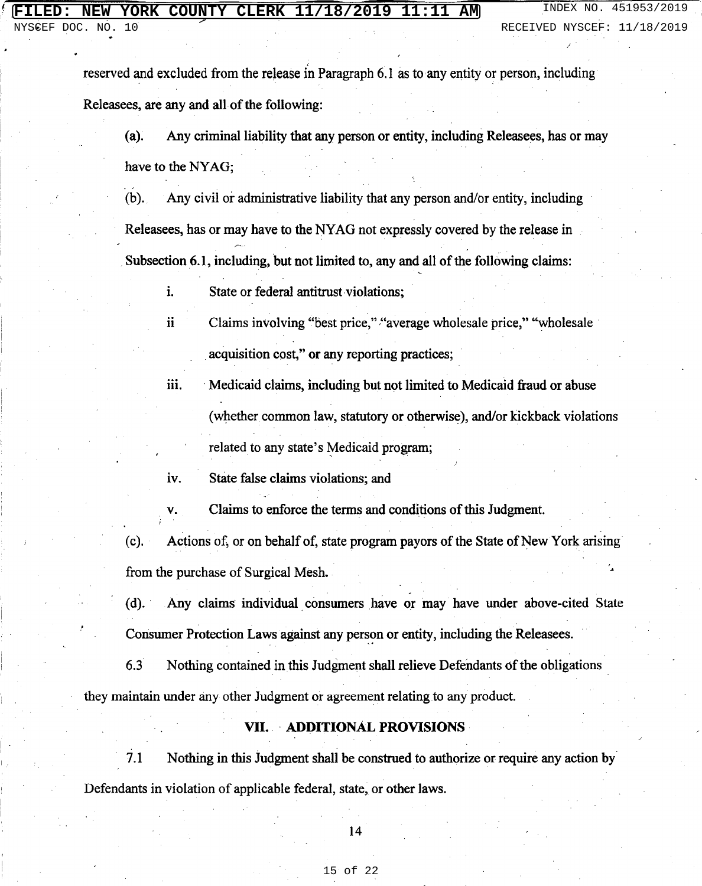NYSCEF DOC. NO. 

reserved and excluded from the release in Paragraph 6.1 as to any entity or person, including Releasees, are any and all of the following:

Any criminal liability that any person or entity, including Releasees, has or may  $(a).$ have to the NYAG;

 $(b)$ . Any civil or administrative liability that any person and/or entity, including Releasees, has or may have to the NYAG not expressly covered by the release in Subsection 6.1, including, but not limited to, any and all of the following claims:

i. State or federal antitrust violations;

Claims involving "best price," "average wholesale price," "wholesale ii. acquisition cost," or any reporting practices;

iii. Medicaid claims, including but not limited to Medicaid fraud or abuse (whether common law, statutory or otherwise), and/or kickback violations related to any state's Medicaid program;

State false claims violations; and iv.

V.

Claims to enforce the terms and conditions of this Judgment.

Actions of, or on behalf of, state program payors of the State of New York arising (c). from the purchase of Surgical Mesh.

 $(d)$ . Any claims individual consumers have or may have under above-cited State Consumer Protection Laws against any person or entity, including the Releasees.

 $6.3$ Nothing contained in this Judgment shall relieve Defendants of the obligations they maintain under any other Judgment or agreement relating to any product.

### VII. ADDITIONAL PROVISIONS

 $7.1$ Nothing in this Judgment shall be construed to authorize or require any action by Defendants in violation of applicable federal, state, or other laws.

14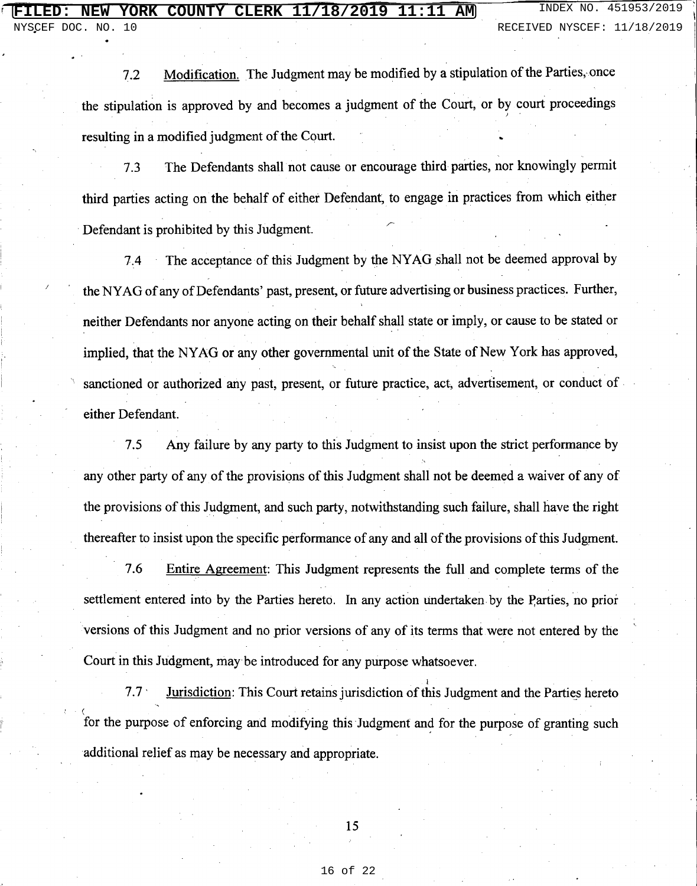Modification. The Judgment may be modified by a stipulation of the Parties, once  $7.2$ the stipulation is approved by and becomes a judgment of the Court, or by court proceedings resulting in a modified judgment of the Court.

The Defendants shall not cause or encourage third parties, nor knowingly permit  $7.3$ third parties acting on the behalf of either Defendant, to engage in practices from which either Defendant is prohibited by this Judgment.

The acceptance of this Judgment by the NYAG shall not be deemed approval by  $7.4$ the NYAG of any of Defendants' past, present, or future advertising or business practices. Further, neither Defendants nor anyone acting on their behalf shall state or imply, or cause to be stated or implied, that the NYAG or any other governmental unit of the State of New York has approved, sanctioned or authorized any past, present, or future practice, act, advertisement, or conduct of either Defendant.

 $7.5$ Any failure by any party to this Judgment to insist upon the strict performance by any other party of any of the provisions of this Judgment shall not be deemed a waiver of any of the provisions of this Judgment, and such party, notwithstanding such failure, shall have the right thereafter to insist upon the specific performance of any and all of the provisions of this Judgment.

7.6 Entire Agreement: This Judgment represents the full and complete terms of the settlement entered into by the Parties hereto. In any action undertaken by the Parties, no prior versions of this Judgment and no prior versions of any of its terms that were not entered by the Court in this Judgment, may be introduced for any purpose whatsoever.

Jurisdiction: This Court retains jurisdiction of this Judgment and the Parties hereto  $7.7<sup>1</sup>$ for the purpose of enforcing and modifying this Judgment and for the purpose of granting such additional relief as may be necessary and appropriate.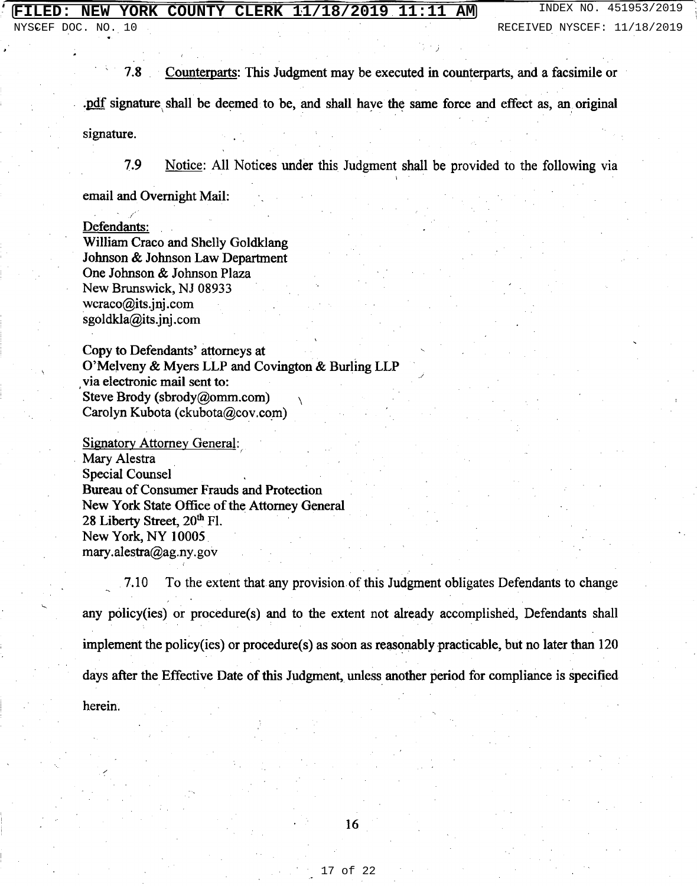Counterparts: This Judgment may be executed in counterparts, and a facsimile or  $7.8$ pdf signature shall be deemed to be, and shall have the same force and effect as, an original signature.

7.9

Notice: All Notices under this Judgment shall be provided to the following via

email and Overnight Mail:

Defendants:

William Craco and Shelly Goldklang Johnson & Johnson Law Department One Johnson & Johnson Plaza New Brunswick, NJ 08933  $wcraco@its.inj.com$ sgoldkla@its.jnj.com

Copy to Defendants' attorneys at O'Melveny & Myers LLP and Covington & Burling LLP via electronic mail sent to: Steve Brody (sbrody@omm.com) Carolyn Kubota (ckubota@cov.com)

**Signatory Attorney General:** Mary Alestra **Special Counsel Bureau of Consumer Frauds and Protection** New York State Office of the Attorney General 28 Liberty Street, 20th Fl. New York, NY 10005 mary.alestra@ag.ny.gov

To the extent that any provision of this Judgment obligates Defendants to change 7.10 any policy(ies) or procedure(s) and to the extent not already accomplished, Defendants shall implement the policy (ies) or procedure(s) as soon as reasonably practicable, but no later than  $120$ days after the Effective Date of this Judgment, unless another period for compliance is specified herein.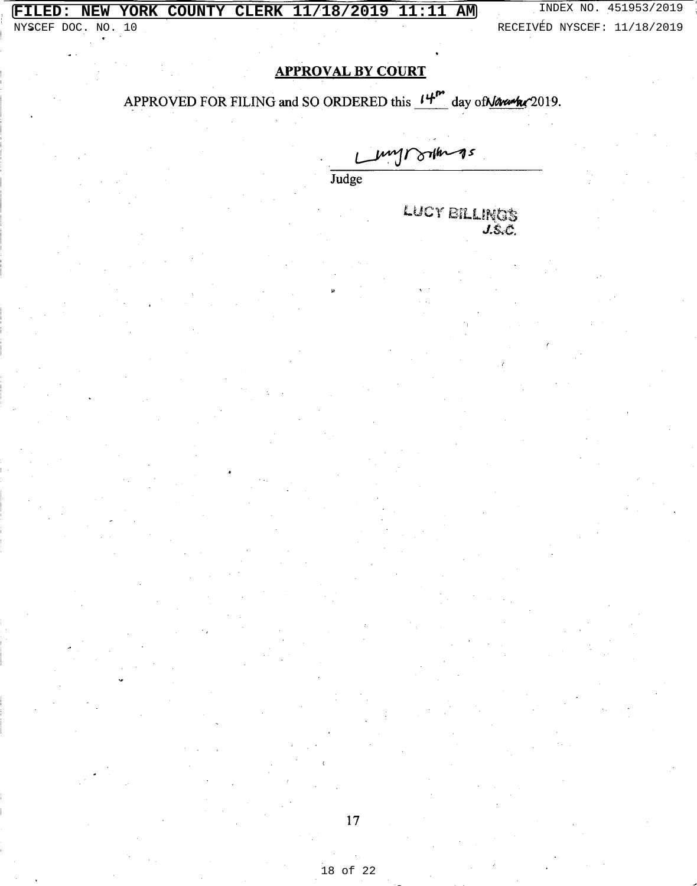# **FILED: NEW YORK COUNTY CLERK 11/18/2019 11:11 AM** INDEX NO. 451953/2019 NYSCEF DOC. NO. 10 RECEIVÉD NYSCEF: 11/18/2019

 $RECEIVE$ D NYSCEF: 11/18/2019

## **APPROVAL BY COURT**

## APPROVED FOR FILING and SO ORDERED this  $14^{m}$  day of Navarker 2019.

Judge<br>Judge

LUCY BILLINGS  $J.S.C.$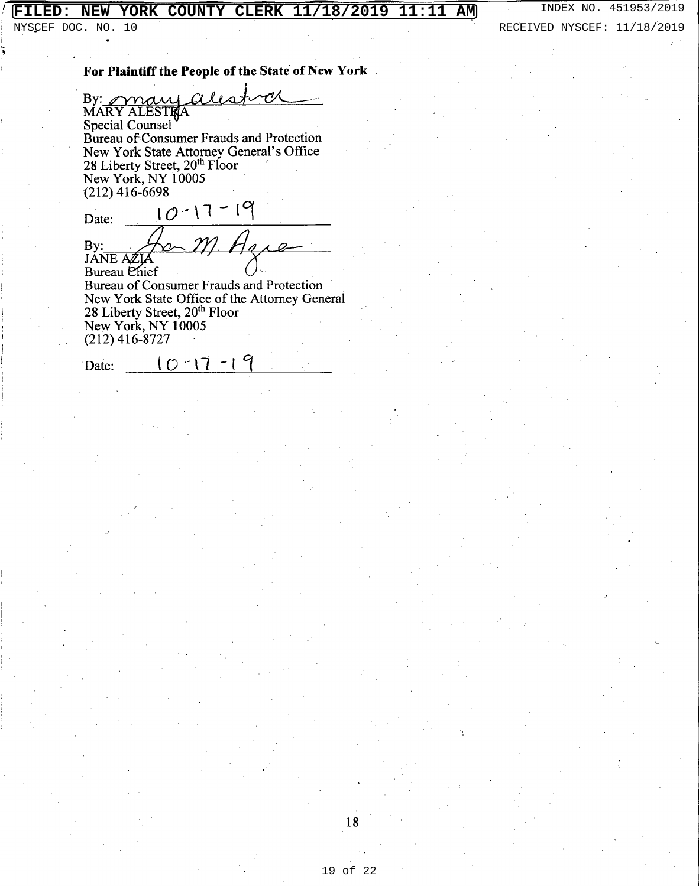## **FILED: NEW YORK COUNTY CLERK 11/18/2019 11:11 AM** INDEX NO. 451953/2019

NYSCEF DOC. NO. 10 80 RECEIVED NYSCEF: 11/18/2019

### For Plaintiff the People of the State of New York

 $\mathcal{O}'$ By: may alle **Special Counsel** Bureau of Consumer Frauds and Protection New York State Attorney General's Office 28 Liberty Street, 20<sup>th</sup> Floor New York, NY 10005  $(212)$  416-6698

 $10 - 17 - 19$ Date: By:  $2$ JANE AZIA Bureau Chief Bureau of Consumer Frauds and Protection New York State Office of the Attorney General

28 Liberty Street, 20th Floor New York, NY 10005  $(212)$  416-8727

 $10 - 17 - 19$ 

Date: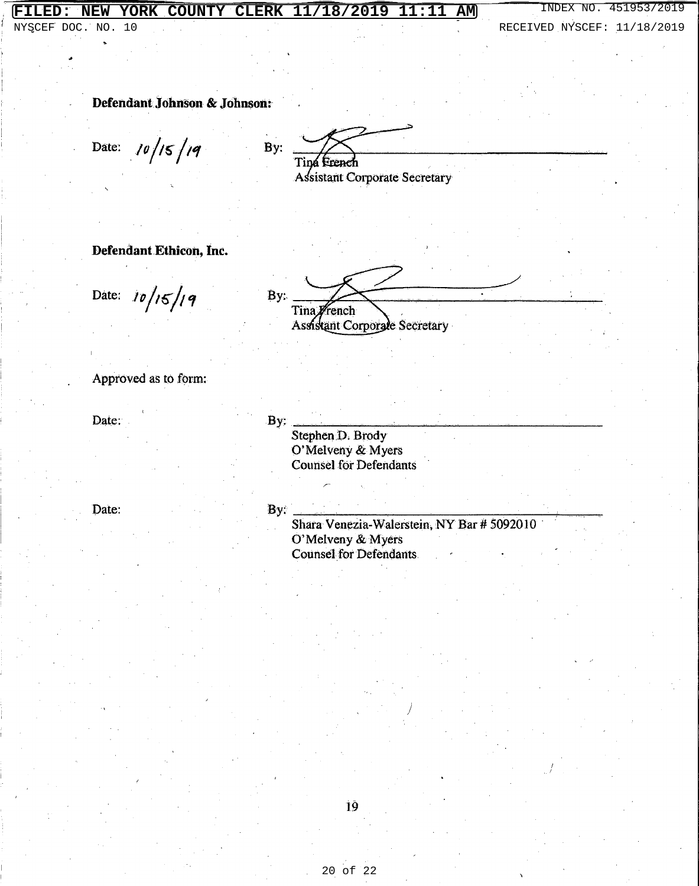### NEW YORK COUNTY CLERK 11/18/2019 11:11 **AM FILED:**

NYSCEF DOC. NO. 10

RECEIVED NYSCEF: 11/18/2019

Defendant Johnson & Johnson:

 $10/15/19$ Date:

 $By:$ Tina Erench Assistant Corporate Secretary

Defendant Ethicon, Inc.

Date:  $10/15/19$ 

By: Tina French Assistant Corporate Secretary

Approved as to form:

Date:

 $By:$ 

Stephen D. Brody O'Melveny & Myers **Counsel for Defendants** 

Date:

### By:

Shara Venezia-Walerstein, NY Bar # 5092010 O'Melveny & Myers Counsel for Defendants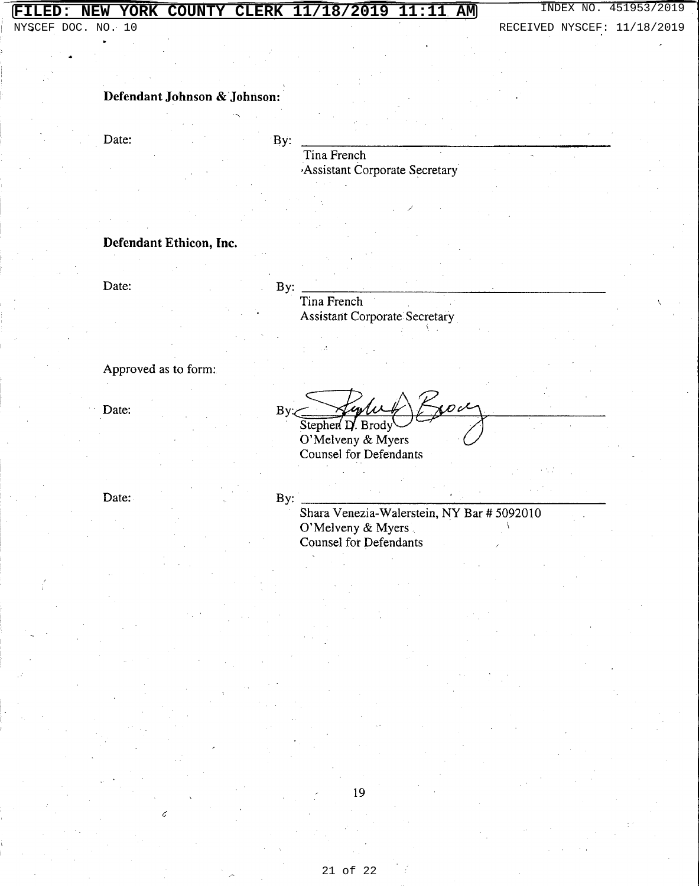## FILED: NEW YORK COUNTY CLERK 11/18/2019 11:11 AM

NYSCEF DOC. NO. 10

INDEX NO. 451953/2019

RECEIVED NYSCEF: 11/18/2019

### Defendant Johnson & Johnson:

Date:

By:

Tina French Assistant Corporate Secretary

### Defendant Ethicon, Inc.

Date:

By:

Tina French **Assistant Corporate Secretary** 

Approved as to form:

Date:

By: Stephen D. Brody

O'Melveny & Myers Counsel for Defendants

Date:

By:

Shara Venezia-Walerstein, NY Bar # 5092010 O'Melveny & Myers **Counsel for Defendants**